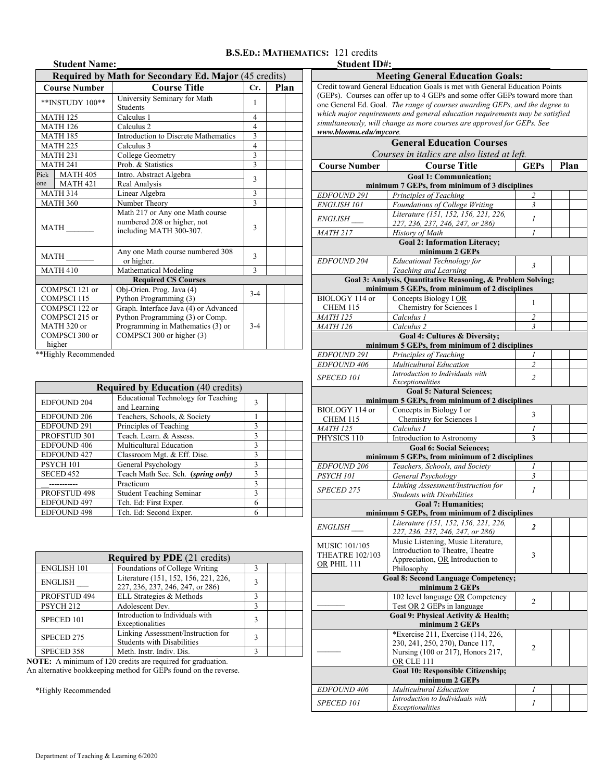## **B.S.ED.: MATHEMATICS:** 121 credits

|                                                                             | <b>Student Name:</b> |                                                                                                                                            |                          |      |  |
|-----------------------------------------------------------------------------|----------------------|--------------------------------------------------------------------------------------------------------------------------------------------|--------------------------|------|--|
|                                                                             |                      | <b>Required by Math for Secondary Ed. Major (45 credits)</b>                                                                               |                          |      |  |
|                                                                             | <b>Course Number</b> | <b>Course Title</b>                                                                                                                        | Cr.                      | Plan |  |
| **INSTUDY 100**                                                             |                      | University Seminary for Math<br>Students                                                                                                   | 1                        |      |  |
| <b>MATH 125</b>                                                             |                      | Calculus 1                                                                                                                                 | 4                        |      |  |
|                                                                             | <b>MATH 126</b>      | Calculus <sub>2</sub>                                                                                                                      | 4                        |      |  |
|                                                                             | <b>MATH 185</b>      | Introduction to Discrete Mathematics                                                                                                       | 3                        |      |  |
|                                                                             | <b>MATH 225</b>      | Calculus 3                                                                                                                                 | $\overline{\mathcal{L}}$ |      |  |
|                                                                             | <b>MATH 231</b>      | College Geometry                                                                                                                           | $\overline{\mathbf{3}}$  |      |  |
|                                                                             | <b>MATH 241</b>      | Prob. & Statistics                                                                                                                         | $\overline{\mathbf{3}}$  |      |  |
| Pick                                                                        | <b>MATH 405</b>      | Intro. Abstract Algebra                                                                                                                    |                          |      |  |
| one                                                                         | <b>MATH 421</b>      | Real Analysis                                                                                                                              | 3                        |      |  |
| <b>MATH 314</b>                                                             |                      | Linear Algebra                                                                                                                             | 3                        |      |  |
| <b>MATH 360</b>                                                             |                      | Number Theory                                                                                                                              | $\mathbf{3}$             |      |  |
| <b>MATH</b>                                                                 |                      | Math 217 or Any one Math course<br>numbered 208 or higher, not<br>including MATH 300-307.                                                  | 3                        |      |  |
| <b>MATH</b>                                                                 |                      | Any one Math course numbered 308<br>or higher.                                                                                             | 3                        |      |  |
|                                                                             | <b>MATH 410</b>      | Mathematical Modeling                                                                                                                      | $\mathcal{E}$            |      |  |
|                                                                             |                      | <b>Required CS Courses</b>                                                                                                                 |                          |      |  |
| COMPSCI 121 or<br>COMPSCI 115                                               |                      | Obj-Orien. Prog. Java (4)<br>Python Programming (3)                                                                                        | $3 - 4$                  |      |  |
| COMPSCI 122 or<br>COMPSCI 215 or<br>MATH 320 or<br>COMPSCI 300 or<br>higher |                      | Graph. Interface Java (4) or Advanced<br>Python Programming (3) or Comp.<br>Programming in Mathematics (3) or<br>COMPSCI 300 or higher (3) | $3 - 4$                  |      |  |

\*\*Highly Recommended

| <b>Required by Education (40 credits)</b>     |                                                            |              |  |  |  |  |  |
|-----------------------------------------------|------------------------------------------------------------|--------------|--|--|--|--|--|
| <b>EDFOUND 204</b>                            | <b>Educational Technology for Teaching</b><br>and Learning | 3            |  |  |  |  |  |
| <b>EDFOUND 206</b>                            | Teachers, Schools, & Society                               |              |  |  |  |  |  |
| <b>EDFOUND 291</b>                            | Principles of Teaching                                     | 3            |  |  |  |  |  |
| PROFSTUD 301                                  | Teach. Learn. & Assess.                                    |              |  |  |  |  |  |
| <b>EDFOUND 406</b><br>Multicultural Education |                                                            | 3            |  |  |  |  |  |
| <b>EDFOUND 427</b>                            | Classroom Mgt. & Eff. Disc.                                |              |  |  |  |  |  |
| PSYCH 101                                     | General Psychology                                         | 3            |  |  |  |  |  |
| SECED <sub>452</sub>                          | Teach Math Sec. Sch. (spring only)                         |              |  |  |  |  |  |
|                                               | Practicum                                                  | $\mathbf{3}$ |  |  |  |  |  |
| PROFSTUD 498                                  | <b>Student Teaching Seminar</b>                            |              |  |  |  |  |  |
| EDFOUND 497                                   | Tch. Ed: First Exper.                                      | 6            |  |  |  |  |  |
| <b>EDFOUND 498</b>                            | 6                                                          |              |  |  |  |  |  |

| <b>Required by PDE</b> (21 credits) |                                                                         |   |  |  |  |  |  |
|-------------------------------------|-------------------------------------------------------------------------|---|--|--|--|--|--|
| <b>ENGLISH 101</b>                  |                                                                         |   |  |  |  |  |  |
| <b>ENGLISH</b>                      |                                                                         |   |  |  |  |  |  |
| PROFSTUD 494                        | ELL Strategies & Methods                                                | ٦ |  |  |  |  |  |
| PSYCH <sub>212</sub>                | Adolescent Dev.                                                         | ٦ |  |  |  |  |  |
| SPECED 101                          | Introduction to Individuals with<br>Exceptionalities                    |   |  |  |  |  |  |
| SPECED 275                          | Linking Assessment/Instruction for<br><b>Students with Disabilities</b> |   |  |  |  |  |  |
| SPECED 358                          | Meth. Instr. Indiv. Dis.                                                | ς |  |  |  |  |  |

**NOTE:** A minimum of 120 credits are required for graduation.

An alternative bookkeeping method for GEPs found on the reverse.

\*Highly Recommended

| Student ID#: |  |
|--------------|--|
|              |  |

| Student ID#:                                | <b>Meeting General Education Goals:</b>                                        |                         |      |  |  |  |  |  |  |
|---------------------------------------------|--------------------------------------------------------------------------------|-------------------------|------|--|--|--|--|--|--|
|                                             | Credit toward General Education Goals is met with General Education Points     |                         |      |  |  |  |  |  |  |
|                                             | (GEPs). Courses can offer up to 4 GEPs and some offer GEPs toward more than    |                         |      |  |  |  |  |  |  |
|                                             | one General Ed. Goal. The range of courses awarding GEPs, and the degree to    |                         |      |  |  |  |  |  |  |
|                                             | which major requirements and general education requirements may be satisfied   |                         |      |  |  |  |  |  |  |
|                                             | simultaneously, will change as more courses are approved for GEPs. See         |                         |      |  |  |  |  |  |  |
| www.bloomu.edu/mycore.                      |                                                                                |                         |      |  |  |  |  |  |  |
|                                             | <b>General Education Courses</b>                                               |                         |      |  |  |  |  |  |  |
| Courses in italics are also listed at left. |                                                                                |                         |      |  |  |  |  |  |  |
| <b>Course Number</b>                        | <b>Course Title</b>                                                            | <b>GEPs</b>             | Plan |  |  |  |  |  |  |
|                                             | <b>Goal 1: Communication:</b>                                                  |                         |      |  |  |  |  |  |  |
|                                             | minimum 7 GEPs, from minimum of 3 disciplines                                  |                         |      |  |  |  |  |  |  |
| EDFOUND 291                                 | Principles of Teaching                                                         | 2                       |      |  |  |  |  |  |  |
| <b>ENGLISH 101</b>                          | Foundations of College Writing<br>Literature (151, 152, 156, 221, 226,         | 3                       |      |  |  |  |  |  |  |
| <i>ENGLISH</i>                              | 227, 236, 237, 246, 247, or 286)                                               | $\mathcal{I}$           |      |  |  |  |  |  |  |
| <b>MATH 217</b>                             | History of Math                                                                | 1                       |      |  |  |  |  |  |  |
|                                             | <b>Goal 2: Information Literacy;</b>                                           |                         |      |  |  |  |  |  |  |
|                                             | minimum 2 GEPs                                                                 |                         |      |  |  |  |  |  |  |
| <i>EDFOUND 204</i>                          | Educational Technology for                                                     | 3                       |      |  |  |  |  |  |  |
|                                             | Teaching and Learning                                                          |                         |      |  |  |  |  |  |  |
|                                             | Goal 3: Analysis, Quantitative Reasoning, & Problem Solving;                   |                         |      |  |  |  |  |  |  |
|                                             | minimum 5 GEPs, from minimum of 2 disciplines                                  |                         |      |  |  |  |  |  |  |
| BIOLOGY 114 or                              | Concepts Biology I OR                                                          | 1                       |      |  |  |  |  |  |  |
| CHEM 115                                    | Chemistry for Sciences 1                                                       |                         |      |  |  |  |  |  |  |
| <b>MATH 125</b>                             | Calculus 1                                                                     | 2                       |      |  |  |  |  |  |  |
| <b>MATH 126</b>                             | Calculus <sub>2</sub>                                                          | 3                       |      |  |  |  |  |  |  |
|                                             | Goal 4: Cultures & Diversity;<br>minimum 5 GEPs, from minimum of 2 disciplines |                         |      |  |  |  |  |  |  |
| EDFOUND 291                                 | Principles of Teaching                                                         |                         |      |  |  |  |  |  |  |
| EDFOUND 406                                 | <b>Multicultural Education</b>                                                 | 2                       |      |  |  |  |  |  |  |
|                                             | Introduction to Individuals with                                               |                         |      |  |  |  |  |  |  |
| SPECED 101                                  | Exceptionalities                                                               | $\overline{2}$          |      |  |  |  |  |  |  |
|                                             | <b>Goal 5: Natural Sciences;</b>                                               |                         |      |  |  |  |  |  |  |
|                                             | minimum 5 GEPs, from minimum of 2 disciplines                                  |                         |      |  |  |  |  |  |  |
| BIOLOGY 114 or                              | Concepts in Biology I or                                                       | 3                       |      |  |  |  |  |  |  |
| <b>CHEM 115</b><br><b>MATH 125</b>          | Chemistry for Sciences 1<br>Calculus I                                         | 1                       |      |  |  |  |  |  |  |
| PHYSICS 110                                 | Introduction to Astronomy                                                      | 3                       |      |  |  |  |  |  |  |
|                                             | <b>Goal 6: Social Sciences:</b>                                                |                         |      |  |  |  |  |  |  |
|                                             | minimum 5 GEPs, from minimum of 2 disciplines                                  |                         |      |  |  |  |  |  |  |
| EDFOUND 206                                 | Teachers, Schools, and Society                                                 | 1                       |      |  |  |  |  |  |  |
| PSYCH <sub>101</sub>                        | General Psychology                                                             | 3                       |      |  |  |  |  |  |  |
|                                             | Linking Assessment/Instruction for                                             |                         |      |  |  |  |  |  |  |
| <b>SPECED 275</b>                           | <b>Students with Disabilities</b>                                              | 1                       |      |  |  |  |  |  |  |
|                                             | <b>Goal 7: Humanities;</b>                                                     |                         |      |  |  |  |  |  |  |
|                                             | minimum 5 GEPs, from minimum of 2 disciplines                                  |                         |      |  |  |  |  |  |  |
| <i>ENGLISH</i>                              | Literature (151, 152, 156, 221, 226,                                           | $\overline{\mathbf{c}}$ |      |  |  |  |  |  |  |
|                                             | 227, 236, 237, 246, 247, or 286)                                               |                         |      |  |  |  |  |  |  |
| MUSIC 101/105                               | Music Listening, Music Literature,                                             |                         |      |  |  |  |  |  |  |
| <b>THEATRE 102/103</b>                      | Introduction to Theatre, Theatre                                               | 3                       |      |  |  |  |  |  |  |
| OR PHIL 111                                 | Appreciation, OR Introduction to                                               |                         |      |  |  |  |  |  |  |
|                                             | Philosophy                                                                     |                         |      |  |  |  |  |  |  |
|                                             | <b>Goal 8: Second Language Competency;</b>                                     |                         |      |  |  |  |  |  |  |
|                                             | minimum 2 GEPs<br>102 level language OR Competency                             |                         |      |  |  |  |  |  |  |
|                                             | Test OR 2 GEPs in language                                                     | 2                       |      |  |  |  |  |  |  |
|                                             | Goal 9: Physical Activity & Health;                                            |                         |      |  |  |  |  |  |  |
|                                             | minimum 2 GEPs                                                                 |                         |      |  |  |  |  |  |  |
|                                             | *Exercise 211, Exercise (114, 226,                                             |                         |      |  |  |  |  |  |  |
|                                             | 230, 241, 250, 270), Dance 117,                                                |                         |      |  |  |  |  |  |  |
|                                             | Nursing (100 or 217), Honors 217,                                              | 2                       |      |  |  |  |  |  |  |
|                                             | OR CLE 111                                                                     |                         |      |  |  |  |  |  |  |
|                                             | Goal 10: Responsible Citizenship;                                              |                         |      |  |  |  |  |  |  |
|                                             | minimum 2 GEPs                                                                 |                         |      |  |  |  |  |  |  |
| <i>EDFOUND 406</i>                          | Multicultural Education                                                        | 1                       |      |  |  |  |  |  |  |
| <i>SPECED 101</i>                           | Introduction to Individuals with<br>Exceptionalities                           | 1                       |      |  |  |  |  |  |  |
|                                             |                                                                                |                         |      |  |  |  |  |  |  |